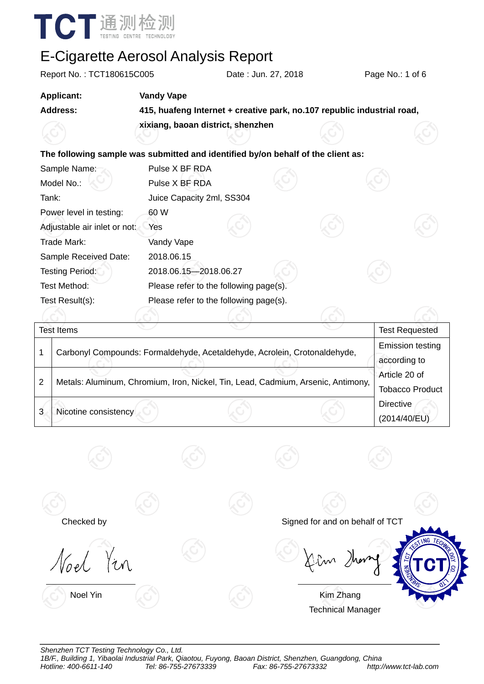

| Report No.: TCT180615C005                                                        |                                   | Date: Jun. 27, 2018                                                       |  | Page No.: 1 of 6                        |  |
|----------------------------------------------------------------------------------|-----------------------------------|---------------------------------------------------------------------------|--|-----------------------------------------|--|
| <b>Applicant:</b>                                                                | <b>Vandy Vape</b>                 |                                                                           |  |                                         |  |
| <b>Address:</b>                                                                  |                                   | 415, huafeng Internet + creative park, no.107 republic industrial road,   |  |                                         |  |
|                                                                                  | xixiang, baoan district, shenzhen |                                                                           |  |                                         |  |
| The following sample was submitted and identified by/on behalf of the client as: |                                   |                                                                           |  |                                         |  |
| Sample Name:                                                                     | Pulse X BF RDA                    |                                                                           |  |                                         |  |
| Model No.:                                                                       | Pulse X BF RDA                    |                                                                           |  |                                         |  |
| Tank:                                                                            | Juice Capacity 2ml, SS304         |                                                                           |  |                                         |  |
| Power level in testing:                                                          | 60 W                              |                                                                           |  |                                         |  |
| Adjustable air inlet or not:                                                     | Yes                               |                                                                           |  |                                         |  |
| Trade Mark:                                                                      | Vandy Vape                        |                                                                           |  |                                         |  |
| Sample Received Date:                                                            | 2018.06.15                        |                                                                           |  |                                         |  |
| <b>Testing Period:</b>                                                           | 2018.06.15-2018.06.27             |                                                                           |  |                                         |  |
| <b>Test Method:</b>                                                              |                                   | Please refer to the following page(s).                                    |  |                                         |  |
| Test Result(s):                                                                  |                                   | Please refer to the following page(s).                                    |  |                                         |  |
|                                                                                  |                                   |                                                                           |  |                                         |  |
| <b>Test Items</b>                                                                |                                   |                                                                           |  | <b>Test Requested</b>                   |  |
| 1                                                                                |                                   | Carbonyl Compounds: Formaldehyde, Acetaldehyde, Acrolein, Crotonaldehyde, |  | <b>Emission testing</b><br>according to |  |

| ົ      | Metals: Aluminum, Chromium, Iron, Nickel, Tin, Lead, Cadmium, Arsenic, Antimony, | Article 20 of          |
|--------|----------------------------------------------------------------------------------|------------------------|
|        |                                                                                  | <b>Tobacco Product</b> |
|        |                                                                                  | <b>Directive</b>       |
| 2<br>J | Nicotine consistency                                                             | (2014/40/EU)           |



*Shenzhen TCT Testing Technology Co., Ltd. 1B/F., Building 1, Yibaolai Industrial Park, Qiaotou, Fuyong, Baoan District, Shenzhen, Guangdong, China Hotline: 400-6611-140 Tel: 86-755-27673339 Fax: 86-755-27673332 http://www.tct-lab.com*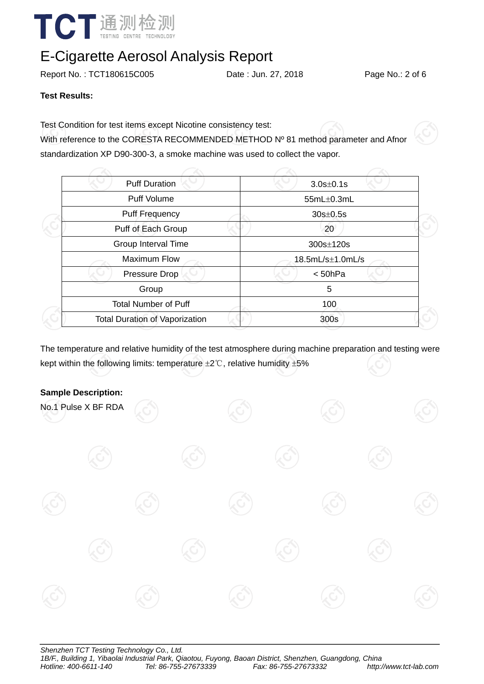

Report No.: TCT180615C005 Date : Jun. 27, 2018 Page No.: 2 of 6

#### **Test Results:**

Test Condition for test items except Nicotine consistency test:

With reference to the CORESTA RECOMMENDED METHOD Nº 81 method parameter and Afnor standardization XP D90-300-3, a smoke machine was used to collect the vapor.

| <b>Puff Duration</b>                  | $3.0s \pm 0.1s$      |  |  |
|---------------------------------------|----------------------|--|--|
| <b>Puff Volume</b>                    | 55mL±0.3mL           |  |  |
| <b>Puff Frequency</b>                 | $30s \pm 0.5s$       |  |  |
| Puff of Each Group                    | 20                   |  |  |
| Group Interval Time                   | 300s±120s            |  |  |
| <b>Maximum Flow</b>                   | $18.5mL/s\pm1.0mL/s$ |  |  |
| Pressure Drop                         | < 50hPa              |  |  |
| Group                                 | 5                    |  |  |
| <b>Total Number of Puff</b>           | 100                  |  |  |
| <b>Total Duration of Vaporization</b> | 300s                 |  |  |
|                                       |                      |  |  |

The temperature and relative humidity of the test atmosphere during machine preparation and testing were kept within the following limits: temperature ±2℃, relative humidity ±5%

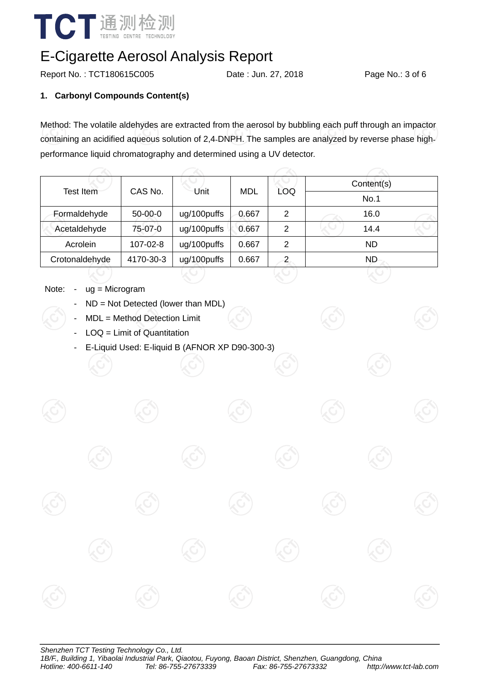

Report No.: TCT180615C005 Date : Jun. 27, 2018 Page No.: 3 of 6

### **1. Carbonyl Compounds Content(s)**

Method: The volatile aldehydes are extracted from the aerosol by bubbling each puff through an impactor containing an acidified aqueous solution of 2,4DNPH. The samples are analyzed by reverse phase highperformance liquid chromatography and determined using a UV detector.

| Test Item      | CAS No.   | Unit        | MDL   | LOQ            | Content(s) |  |  |
|----------------|-----------|-------------|-------|----------------|------------|--|--|
|                |           |             |       |                | No.1       |  |  |
| Formaldehyde   | $50-00-0$ | ug/100puffs | 0.667 | 2              | 16.0       |  |  |
| Acetaldehyde   | 75-07-0   | ug/100puffs | 0.667 | 2              | 14.4       |  |  |
| Acrolein       | 107-02-8  | ug/100puffs | 0.667 | 2              | <b>ND</b>  |  |  |
| Crotonaldehyde | 4170-30-3 | ug/100puffs | 0.667 | $\overline{2}$ | ND.        |  |  |

- Note: ug = Microgram
	- $ND = Not$  Detected (lower than MDL)
	- MDL = Method Detection Limit
	- $LOQ =$  Limit of Quantitation
	- E-Liquid Used: E-liquid B (AFNOR XP D90-300-3)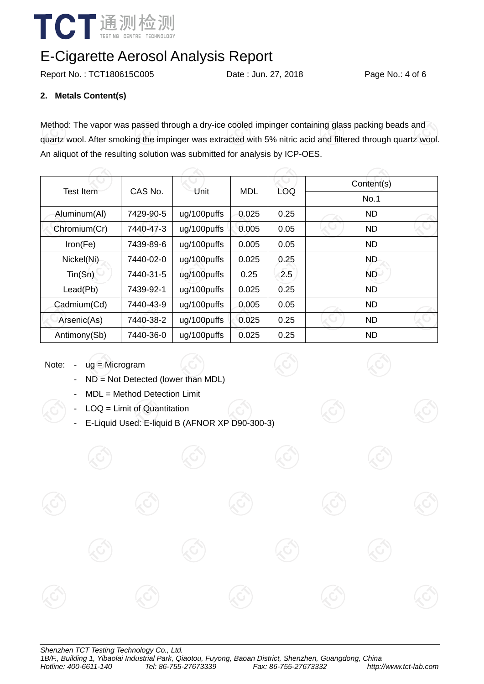

Report No.: TCT180615C005 Date : Jun. 27, 2018 Page No.: 4 of 6

### **2. Metals Content(s)**

Method: The vapor was passed through a dry-ice cooled impinger containing glass packing beads and quartz wool. After smoking the impinger was extracted with 5% nitric acid and filtered through quartz wool. An aliquot of the resulting solution was submitted for analysis by ICP-OES.

|              |                 |             |            |            | Content(s) |  |  |
|--------------|-----------------|-------------|------------|------------|------------|--|--|
| Test Item    | CAS No.<br>Unit |             | <b>MDL</b> | <b>LOQ</b> | No.1       |  |  |
| Aluminum(Al) | 7429-90-5       | ug/100puffs | 0.025      | 0.25       | <b>ND</b>  |  |  |
| Chromium(Cr) | 7440-47-3       | ug/100puffs | 0.005      | 0.05       | <b>ND</b>  |  |  |
| Iron(Fe)     | 7439-89-6       | ug/100puffs | 0.005      | 0.05       | <b>ND</b>  |  |  |
| Nickel(Ni)   | 7440-02-0       | ug/100puffs | 0.025      | 0.25       | <b>ND</b>  |  |  |
| Tin(Sn)      | 7440-31-5       | ug/100puffs | 0.25       | 2.5        | <b>ND</b>  |  |  |
| Lead(Pb)     | 7439-92-1       | ug/100puffs | 0.025      | 0.25       | <b>ND</b>  |  |  |
| Cadmium(Cd)  | 7440-43-9       | ug/100puffs | 0.005      | 0.05       | <b>ND</b>  |  |  |
| Arsenic(As)  | 7440-38-2       | ug/100puffs | 0.025      | 0.25       | <b>ND</b>  |  |  |
| Antimony(Sb) | 7440-36-0       | ug/100puffs | 0.025      | 0.25       | <b>ND</b>  |  |  |

Note: - ug = Microgram

- ND = Not Detected (lower than MDL)
- MDL = Method Detection Limit
- $LOQ =$  Limit of Quantitation
- E-Liquid Used: E-liquid B (AFNOR XP D90-300-3)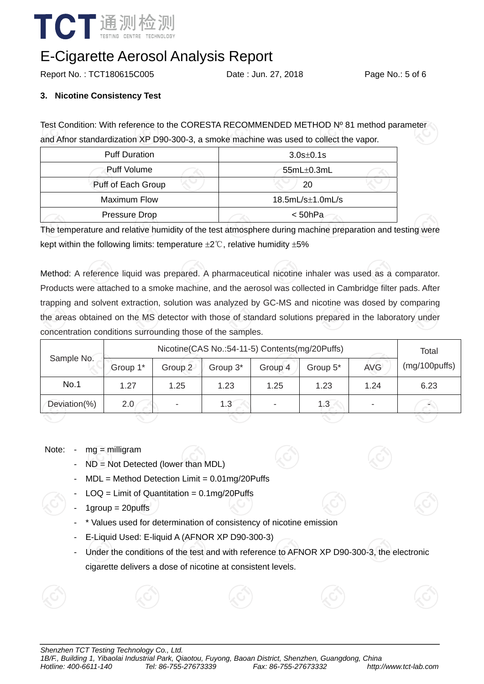

Report No.: TCT180615C005 Date: Jun. 27, 2018 Page No.: 5 of 6

#### **3. Nicotine Consistency Test**

Test Condition: With reference to the CORESTA RECOMMENDED METHOD Nº 81 method parameter and Afnor standardization XP D90-300-3, a smoke machine was used to collect the vapor.

| <b>Puff Duration</b> | $3.0s \pm 0.1s$      |  |  |  |
|----------------------|----------------------|--|--|--|
| Puff Volume          | $55mL\pm0.3mL$       |  |  |  |
| Puff of Each Group   | 20                   |  |  |  |
| <b>Maximum Flow</b>  | $18.5mL/s\pm1.0mL/s$ |  |  |  |
| Pressure Drop        | < 50hPa              |  |  |  |

The temperature and relative humidity of the test atmosphere during machine preparation and testing were kept within the following limits: temperature  $\pm 2^{\circ}$ C, relative humidity  $\pm 5\%$ 

Method: A reference liquid was prepared. A pharmaceutical nicotine inhaler was used as a comparator. Products were attached to a smoke machine, and the aerosol was collected in Cambridge filter pads. After trapping and solvent extraction, solution was analyzed by GC-MS and nicotine was dosed by comparing the areas obtained on the MS detector with those of standard solutions prepared in the laboratory under concentration conditions surrounding those of the samples.

|              | Nicotine(CAS No.:54-11-5) Contents(mg/20Puffs) |         |          |         |          |            | Total         |
|--------------|------------------------------------------------|---------|----------|---------|----------|------------|---------------|
| Sample No.   | Group 1*                                       | Group 2 | Group 3* | Group 4 | Group 5* | <b>AVG</b> | (mg/100puffs) |
| No.1         | 1.27                                           | 1.25    | 1.23     | 1.25    | 1.23     | 1.24       | 6.23          |
| Deviation(%) | 2.0                                            | ۰       | 1.3      |         | 1.3      |            |               |
|              |                                                |         |          |         |          |            |               |

#### Note: - mg = milligram

- $ND = Not$  Detected (lower than MDL)
- $MDL = Method$  Detection Limit =  $0.01$ mg/20Puffs
- $LOQ =$  Limit of Quantitation = 0.1mg/20Puffs
- $1$ group =  $20$ puffs
- \* Values used for determination of consistency of nicotine emission
- E-Liquid Used: E-liquid A (AFNOR XP D90-300-3)
- Under the conditions of the test and with reference to AFNOR XP D90-300-3, the electronic cigarette delivers a dose of nicotine at consistent levels.